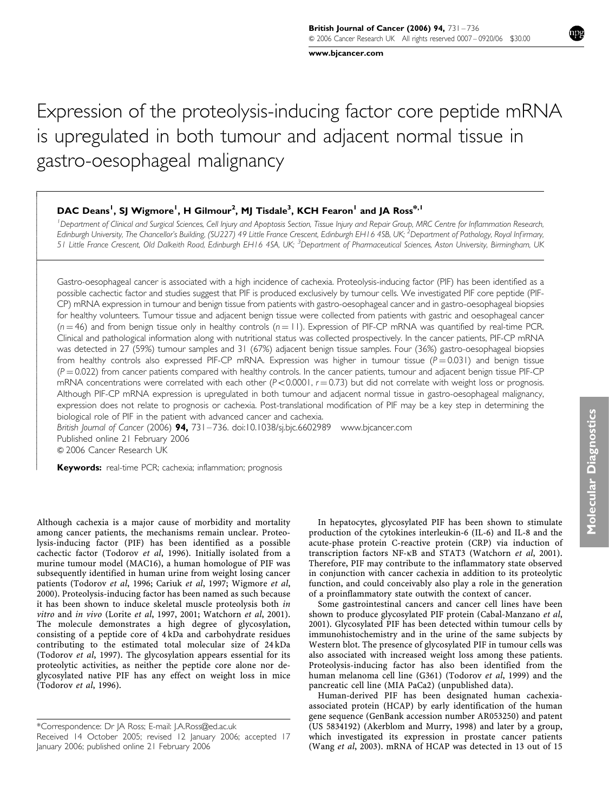www.bjcancer.com

# Expression of the proteolysis-inducing factor core peptide mRNA is upregulated in both tumour and adjacent normal tissue in gastro-oesophageal malignancy

## DAC Deans<sup>1</sup>, SJ Wigmore<sup>1</sup>, H Gilmour<sup>2</sup>, MJ Tisdale<sup>3</sup>, KCH Fearon<sup>1</sup> and JA Ross<sup>\*, 1</sup>

<sup>1</sup>Department of Clinical and Surgical Sciences, Cell Injury and Apoptosis Section, Tissue Injury and Repair Group, MRC Centre for Inflammation Research, Edinburgh University, The Chancellor's Building, (SU227) 49 Little France Crescent, Edinburgh EH16 4SB, UK; <sup>2</sup>Department of Pathology, Royal Infirmary, 51 Little France Crescent, Old Dalkeith Road, Edinburgh EH16 4SA, UK; <sup>3</sup>Department of Pharmaceutical Sciences, Aston University, Birmingham, UK

Gastro-oesophageal cancer is associated with a high incidence of cachexia. Proteolysis-inducing factor (PIF) has been identified as a possible cachectic factor and studies suggest that PIF is produced exclusively by tumour cells. We investigated PIF core peptide (PIF-CP) mRNA expression in tumour and benign tissue from patients with gastro-oesophageal cancer and in gastro-oesophageal biopsies for healthy volunteers. Tumour tissue and adjacent benign tissue were collected from patients with gastric and oesophageal cancer  $(n = 46)$  and from benign tissue only in healthy controls  $(n = 11)$ . Expression of PIF-CP mRNA was quantified by real-time PCR. Clinical and pathological information along with nutritional status was collected prospectively. In the cancer patients, PIF-CP mRNA was detected in 27 (59%) tumour samples and 31 (67%) adjacent benign tissue samples. Four (36%) gastro-oesophageal biopsies from healthy controls also expressed PIF-CP mRNA. Expression was higher in tumour tissue  $(P = 0.031)$  and benign tissue  $(P = 0.022)$  from cancer patients compared with healthy controls. In the cancer patients, tumour and adjacent benign tissue PIF-CP mRNA concentrations were correlated with each other  $(P<0.0001, r = 0.73)$  but did not correlate with weight loss or prognosis. Although PIF-CP mRNA expression is upregulated in both tumour and adjacent normal tissue in gastro-oesophageal malignancy, expression does not relate to prognosis or cachexia. Post-translational modification of PIF may be a key step in determining the biological role of PIF in the patient with advanced cancer and cachexia.

British Journal of Cancer (2006)  $94$ ,  $731 - 736$ . doi:10.1038/sj.bjc.6602989 www.bjcancer.com Published online 21 February 2006 & 2006 Cancer Research UK

Keywords: real-time PCR; cachexia; inflammation; prognosis

 $\overline{1}$  $\overline{\phantom{a}}$  $\bigg\}$  $\bigg\}$  $\overline{\phantom{a}}$  $\overline{\phantom{a}}$  $\overline{\phantom{a}}$  $\overline{\phantom{a}}$  $\bigg\}$  $\overline{\phantom{a}}$  $\overline{\phantom{a}}$  $\overline{\phantom{a}}$ ļ ľ  $\bigg\}$  $\overline{\phantom{a}}$  $\overline{\phantom{a}}$  $\overline{\phantom{a}}$  $\overline{\phantom{a}}$  $\bigg\}$  $\bigg\}$  $\overline{\phantom{a}}$  $\overline{\phantom{a}}$  $\overline{\phantom{a}}$  $\bigg\}$  $\bigg\}$  $\overline{\phantom{a}}$  $\overline{\phantom{a}}$  $\overline{\phantom{a}}$  $\overline{\phantom{a}}$  $\bigg\}$  $\bigg\}$  $\overline{\phantom{a}}$  $\overline{\phantom{a}}$  $\overline{\phantom{a}}$  $\bigg\}$  $\bigg\}$  $\overline{\phantom{a}}$  $\overline{\phantom{a}}$  $\overline{\phantom{a}}$  $\overline{\phantom{a}}$  $\bigg\}$  $\bigg\}$  $\overline{\phantom{a}}$  $\overline{\phantom{a}}$  $\overline{\phantom{a}}$  $\overline{\phantom{a}}$  $\bigg\}$  $\bigg\}$  $\overline{\phantom{a}}$  $\overline{\phantom{a}}$ 

Although cachexia is a major cause of morbidity and mortality among cancer patients, the mechanisms remain unclear. Proteolysis-inducing factor (PIF) has been identified as a possible cachectic factor (Todorov et al, 1996). Initially isolated from a murine tumour model (MAC16), a human homologue of PIF was subsequently identified in human urine from weight losing cancer patients (Todorov et al, 1996; Cariuk et al, 1997; Wigmore et al, 2000). Proteolysis-inducing factor has been named as such because it has been shown to induce skeletal muscle proteolysis both in vitro and in vivo (Lorite et al, 1997, 2001; Watchorn et al, 2001). The molecule demonstrates a high degree of glycosylation, consisting of a peptide core of 4 kDa and carbohydrate residues contributing to the estimated total molecular size of 24 kDa (Todorov et al, 1997). The glycosylation appears essential for its proteolytic activities, as neither the peptide core alone nor deglycosylated native PIF has any effect on weight loss in mice (Todorov et al, 1996).

Received 14 October 2005; revised 12 January 2006; accepted 17 January 2006; published online 21 February 2006 \*Correspondence: Dr JA Ross; E-mail: J.A.Ross@ed.ac.uk

In hepatocytes, glycosylated PIF has been shown to stimulate production of the cytokines interleukin-6 (IL-6) and IL-8 and the acute-phase protein C-reactive protein (CRP) via induction of transcription factors NF-kB and STAT3 (Watchorn et al, 2001). Therefore, PIF may contribute to the inflammatory state observed in conjunction with cancer cachexia in addition to its proteolytic function, and could conceivably also play a role in the generation of a proinflammatory state outwith the context of cancer.

Some gastrointestinal cancers and cancer cell lines have been shown to produce glycosylated PIF protein (Cabal-Manzano et al, 2001). Glycosylated PIF has been detected within tumour cells by immunohistochemistry and in the urine of the same subjects by Western blot. The presence of glycosylated PIF in tumour cells was also associated with increased weight loss among these patients. Proteolysis-inducing factor has also been identified from the human melanoma cell line (G361) (Todorov et al, 1999) and the pancreatic cell line (MIA PaCa2) (unpublished data).

Human-derived PIF has been designated human cachexiaassociated protein (HCAP) by early identification of the human gene sequence (GenBank accession number AR053250) and patent (US 5834192) (Akerblom and Murry, 1998) and later by a group, which investigated its expression in prostate cancer patients (Wang et al, 2003). mRNA of HCAP was detected in 13 out of 15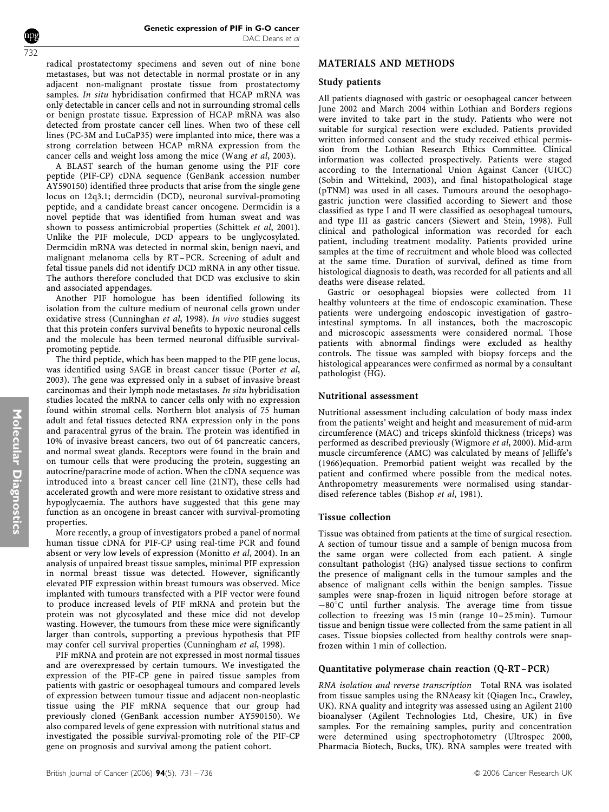radical prostatectomy specimens and seven out of nine bone metastases, but was not detectable in normal prostate or in any adjacent non-malignant prostate tissue from prostatectomy samples. In situ hybridisation confirmed that HCAP mRNA was only detectable in cancer cells and not in surrounding stromal cells or benign prostate tissue. Expression of HCAP mRNA was also detected from prostate cancer cell lines. When two of these cell lines (PC-3M and LuCaP35) were implanted into mice, there was a strong correlation between HCAP mRNA expression from the cancer cells and weight loss among the mice (Wang et al, 2003).

A BLAST search of the human genome using the PIF core peptide (PIF-CP) cDNA sequence (GenBank accession number AY590150) identified three products that arise from the single gene locus on 12q3.1; dermcidin (DCD), neuronal survival-promoting peptide, and a candidate breast cancer oncogene. Dermcidin is a novel peptide that was identified from human sweat and was shown to possess antimicrobial properties (Schittek et al, 2001). Unlike the PIF molecule, DCD appears to be unglycosylated. Dermcidin mRNA was detected in normal skin, benign naevi, and malignant melanoma cells by RT–PCR. Screening of adult and fetal tissue panels did not identify DCD mRNA in any other tissue. The authors therefore concluded that DCD was exclusive to skin and associated appendages.

Another PIF homologue has been identified following its isolation from the culture medium of neuronal cells grown under oxidative stress (Cunninghan et al, 1998). In vivo studies suggest that this protein confers survival benefits to hypoxic neuronal cells and the molecule has been termed neuronal diffusible survivalpromoting peptide.

The third peptide, which has been mapped to the PIF gene locus, was identified using SAGE in breast cancer tissue (Porter et al, 2003). The gene was expressed only in a subset of invasive breast carcinomas and their lymph node metastases. In situ hybridisation studies located the mRNA to cancer cells only with no expression found within stromal cells. Northern blot analysis of 75 human adult and fetal tissues detected RNA expression only in the pons and paracentral gyrus of the brain. The protein was identified in 10% of invasive breast cancers, two out of 64 pancreatic cancers, and normal sweat glands. Receptors were found in the brain and on tumour cells that were producing the protein, suggesting an autocrine/paracrine mode of action. When the cDNA sequence was introduced into a breast cancer cell line (21NT), these cells had accelerated growth and were more resistant to oxidative stress and hypoglycaemia. The authors have suggested that this gene may function as an oncogene in breast cancer with survival-promoting properties.

More recently, a group of investigators probed a panel of normal human tissue cDNA for PIF-CP using real-time PCR and found absent or very low levels of expression (Monitto et al, 2004). In an analysis of unpaired breast tissue samples, minimal PIF expression in normal breast tissue was detected. However, significantly elevated PIF expression within breast tumours was observed. Mice implanted with tumours transfected with a PIF vector were found to produce increased levels of PIF mRNA and protein but the protein was not glycosylated and these mice did not develop wasting. However, the tumours from these mice were significantly larger than controls, supporting a previous hypothesis that PIF may confer cell survival properties (Cunningham et al, 1998).

PIF mRNA and protein are not expressed in most normal tissues and are overexpressed by certain tumours. We investigated the expression of the PIF-CP gene in paired tissue samples from patients with gastric or oesophageal tumours and compared levels of expression between tumour tissue and adjacent non-neoplastic tissue using the PIF mRNA sequence that our group had previously cloned (GenBank accession number AY590150). We also compared levels of gene expression with nutritional status and investigated the possible survival-promoting role of the PIF-CP gene on prognosis and survival among the patient cohort.

### MATERIALS AND METHODS

#### Study patients

All patients diagnosed with gastric or oesophageal cancer between June 2002 and March 2004 within Lothian and Borders regions were invited to take part in the study. Patients who were not suitable for surgical resection were excluded. Patients provided written informed consent and the study received ethical permission from the Lothian Research Ethics Committee. Clinical information was collected prospectively. Patients were staged according to the International Union Against Cancer (UICC) (Sobin and Wittekind, 2003), and final histopathological stage (pTNM) was used in all cases. Tumours around the oesophagogastric junction were classified according to Siewert and those classified as type I and II were classified as oesophageal tumours, and type III as gastric cancers (Siewert and Stein, 1998). Full clinical and pathological information was recorded for each patient, including treatment modality. Patients provided urine samples at the time of recruitment and whole blood was collected at the same time. Duration of survival, defined as time from histological diagnosis to death, was recorded for all patients and all deaths were disease related.

Gastric or oesophageal biopsies were collected from 11 healthy volunteers at the time of endoscopic examination. These patients were undergoing endoscopic investigation of gastrointestinal symptoms. In all instances, both the macroscopic and microscopic assessments were considered normal. Those patients with abnormal findings were excluded as healthy controls. The tissue was sampled with biopsy forceps and the histological appearances were confirmed as normal by a consultant pathologist (HG).

#### Nutritional assessment

Nutritional assessment including calculation of body mass index from the patients' weight and height and measurement of mid-arm circumference (MAC) and triceps skinfold thickness (triceps) was performed as described previously (Wigmore et al, 2000). Mid-arm muscle circumference (AMC) was calculated by means of Jelliffe's (1966)equation. Premorbid patient weight was recalled by the patient and confirmed where possible from the medical notes. Anthropometry measurements were normalised using standardised reference tables (Bishop et al, 1981).

#### Tissue collection

Tissue was obtained from patients at the time of surgical resection. A section of tumour tissue and a sample of benign mucosa from the same organ were collected from each patient. A single consultant pathologist (HG) analysed tissue sections to confirm the presence of malignant cells in the tumour samples and the absence of malignant cells within the benign samples. Tissue samples were snap-frozen in liquid nitrogen before storage at  $-80^{\circ}$ C until further analysis. The average time from tissue collection to freezing was 15 min (range 10– 25 min). Tumour tissue and benign tissue were collected from the same patient in all cases. Tissue biopsies collected from healthy controls were snapfrozen within 1 min of collection.

#### Quantitative polymerase chain reaction (Q-RT–PCR)

RNA isolation and reverse transcription Total RNA was isolated from tissue samples using the RNAeasy kit (Qiagen Inc., Crawley, UK). RNA quality and integrity was assessed using an Agilent 2100 bioanalyser (Agilent Technologies Ltd, Chesire, UK) in five samples. For the remaining samples, purity and concentration were determined using spectrophotometry (Ultrospec 2000, Pharmacia Biotech, Bucks, UK). RNA samples were treated with

Molecular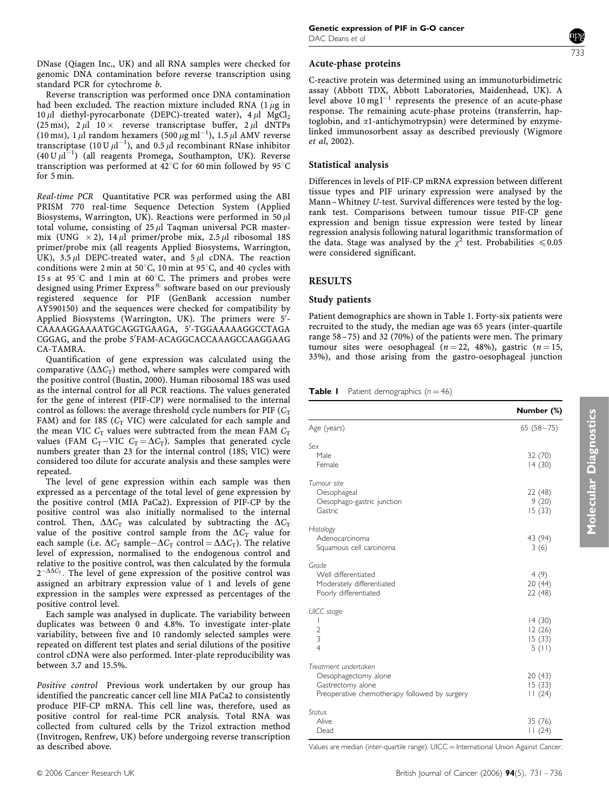DNase (Qiagen Inc., UK) and all RNA samples were checked for genomic DNA contamination before reverse transcription using standard PCR for cytochrome b.

Reverse transcription was performed once DNA contamination had been excluded. The reaction mixture included RNA (1 $\mu$ g in 10  $\mu$ l diethyl-pyrocarbonate (DEPC)-treated water), 4  $\mu$ l MgCl<sub>2</sub> (25 mm),  $2 \mu l$  10  $\times$  reverse transcriptase buffer,  $2 \mu l$  dNTPs (10 mm), 1  $\mu$ l random hexamers (500  $\mu$ g ml<sup>-1</sup>), 1.5  $\mu$ l AMV reverse transcriptase (10 U $\mu$ l<sup>-1</sup>), and 0.5  $\mu$ l recombinant RNase inhibitor (40 U $\mu$ l<sup>-1</sup>) (all reagents Promega, Southampton, UK). Reverse transcription was performed at  $42^{\circ}$ C for 60 min followed by 95 $^{\circ}$ C for 5 min.

Real-time PCR Quantitative PCR was performed using the ABI PRISM 770 real-time Sequence Detection System (Applied Biosystems, Warrington, UK). Reactions were performed in 50  $\mu$ l total volume, consisting of  $25 \mu$ l Taqman universal PCR mastermix (UNG  $\times$  2), 14  $\mu$ l primer/probe mix, 2.5  $\mu$ l ribosomal 18S primer/probe mix (all reagents Applied Biosystems, Warrington, UK),  $3.5 \mu l$  DEPC-treated water, and  $5 \mu l$  cDNA. The reaction conditions were 2 min at 50 $^{\circ}$ C, 10 min at 95 $^{\circ}$ C, and 40 cycles with 15 s at 95 $\degree$ C and 1 min at 60 $\degree$ C. The primers and probes were designed using Primer Express<sup>®</sup> software based on our previously registered sequence for PIF (GenBank accession number AY590150) and the sequences were checked for compatibility by Applied Biosystems (Warrington, UK). The primers were 5'-CAAAAGGAAAATGCAGGTGAAGA, 5'-TGGAAAAAGGCCTAGA CGGAG, and the probe 5'FAM-ACAGGCACCAAAGCCAAGGAAG CA-TAMRA.

Quantification of gene expression was calculated using the comparative ( $\Delta \Delta C_T$ ) method, where samples were compared with the positive control (Bustin, 2000). Human ribosomal 18S was used as the internal control for all PCR reactions. The values generated for the gene of interest (PIF-CP) were normalised to the internal control as follows: the average threshold cycle numbers for PIF  $(C_T)$ FAM) and for 18S ( $C<sub>T</sub>$  VIC) were calculated for each sample and the mean VIC  $C_T$  values were subtracted from the mean FAM  $C_T$ values (FAM C<sub>T</sub> $-VIC$  C<sub>T</sub> $=\Delta C_T$ ). Samples that generated cycle numbers greater than 23 for the internal control (18S; VIC) were considered too dilute for accurate analysis and these samples were repeated.

The level of gene expression within each sample was then expressed as a percentage of the total level of gene expression by the positive control (MIA PaCa2). Expression of PIF-CP by the positive control was also initially normalised to the internal control. Then,  $\Delta \Delta C_T$  was calculated by subtracting the  $\Delta C_T$ value of the positive control sample from the  $\Delta C_T$  value for each sample (i.e.  $\Delta C_{\text{T}}$  sample $-\Delta C_{\text{T}}$  control  $=\Delta \Delta C_{\text{T}}$ ). The relative level of expression, normalised to the endogenous control and relative to the positive control, was then calculated by the formula  $2^{-\Delta\Delta C_{\text{T}}}$ . The level of gene expression of the positive control was assigned an arbitrary expression value of 1 and levels of gene expression in the samples were expressed as percentages of the positive control level.

Each sample was analysed in duplicate. The variability between duplicates was between 0 and 4.8%. To investigate inter-plate variability, between five and 10 randomly selected samples were repeated on different test plates and serial dilutions of the positive control cDNA were also performed. Inter-plate reproducibility was between 3.7 and 15.5%.

Positive control Previous work undertaken by our group has identified the pancreatic cancer cell line MIA PaCa2 to consistently produce PIF-CP mRNA. This cell line was, therefore, used as positive control for real-time PCR analysis. Total RNA was collected from cultured cells by the Trizol extraction method (Invitrogen, Renfrew, UK) before undergoing reverse transcription as described above.

## Acute-phase proteins

C-reactive protein was determined using an immunoturbidimetric assay (Abbott TDX, Abbott Laboratories, Maidenhead, UK). A<br>level above 10 mg1<sup>–1</sup> represents the presence of an acute-phase response. The remaining acute-phase proteins (transferrin, haptoglobin, and a1-antichymotrypsin) were determined by enzymelinked immunosorbent assay as described previously (Wigmore et al, 2002).

## Statistical analysis

Differences in levels of PIF-CP mRNA expression between different tissue types and PIF urinary expression were analysed by the Mann– Whitney U-test. Survival differences were tested by the logrank test. Comparisons between tumour tissue PIF-CP gene expression and benign tissue expression were tested by linear regression analysis following natural logarithmic transformation of the data. Stage was analysed by the  $\chi^2$  test. Probabilities  $\leq 0.05$ were considered significant.

## RESULTS

### Study patients

Patient demographics are shown in Table 1. Forty-six patients were recruited to the study, the median age was 65 years (inter-quartile range 58– 75) and 32 (70%) of the patients were men. The primary tumour sites were oesophageal ( $n = 22$ , 48%), gastric ( $n = 15$ , 33%), and those arising from the gastro-oesophageal junction

**Table 1** Patient demographics  $(n = 46)$ 

|                                                                                                                    | Number (%)                          |
|--------------------------------------------------------------------------------------------------------------------|-------------------------------------|
| Age (years)                                                                                                        | $65(58-75)$                         |
| Sex<br>Male<br>Female                                                                                              | 32 (70)<br>14(30)                   |
| Tumour site<br>Oesophageal<br>Oesophago-gastric junction<br>Gastric                                                | 22 (48)<br>9(20)<br>15(33)          |
| Histology<br>Adenocarcinoma<br>Squamous cell carcinoma                                                             | 43 (94)<br>3(6)                     |
| Grade<br>Well differentiated<br>Moderately differentiated<br>Poorly differentiated                                 | 4(9)<br>20 (44)<br>22 (48)          |
| UICC stage<br>2<br>3<br>$\overline{4}$                                                                             | 14(30)<br>12(26)<br>15(33)<br>5(11) |
| Treatment undertaken<br>Oesophagectomy alone<br>Gastrectomy alone<br>Preoperative chemotherapy followed by surgery | 20(43)<br>15(33)<br>11(24)          |
| Status<br>Alive<br>Dead                                                                                            | 35 (76)<br>11(24)                   |

Values are median (inter-quartile range). UICC = International Union Against Cancer.

Molecular Diagnostics Molecular Diagnostics

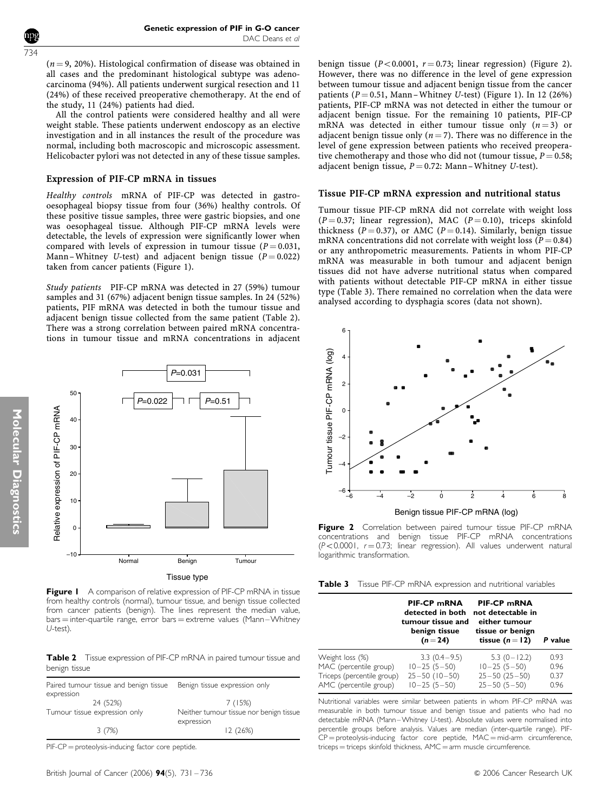$(n = 9, 20\%)$ . Histological confirmation of disease was obtained in all cases and the predominant histological subtype was adenocarcinoma (94%). All patients underwent surgical resection and 11 (24%) of these received preoperative chemotherapy. At the end of the study, 11 (24%) patients had died.

All the control patients were considered healthy and all were weight stable. These patients underwent endoscopy as an elective investigation and in all instances the result of the procedure was normal, including both macroscopic and microscopic assessment. Helicobacter pylori was not detected in any of these tissue samples.

#### Expression of PIF-CP mRNA in tissues

Healthy controls mRNA of PIF-CP was detected in gastrooesophageal biopsy tissue from four (36%) healthy controls. Of these positive tissue samples, three were gastric biopsies, and one was oesophageal tissue. Although PIF-CP mRNA levels were detectable, the levels of expression were significantly lower when compared with levels of expression in tumour tissue ( $P = 0.031$ , Mann–Whitney U-test) and adjacent benign tissue ( $P = 0.022$ ) taken from cancer patients (Figure 1).

Study patients PIF-CP mRNA was detected in 27 (59%) tumour samples and 31 (67%) adjacent benign tissue samples. In 24 (52%) patients, PIF mRNA was detected in both the tumour tissue and adjacent benign tissue collected from the same patient (Table 2). There was a strong correlation between paired mRNA concentrations in tumour tissue and mRNA concentrations in adjacent



Figure I A comparison of relative expression of PIF-CP mRNA in tissue from healthy controls (normal), tumour tissue, and benign tissue collected from cancer patients (benign). The lines represent the median value,  $bars =$  inter-quartile range, error bars  $=$  extreme values (Mann–Whitney U-test).

Table 2 Tissue expression of PIF-CP mRNA in paired tumour tissue and benign tissue

| Paired tumour tissue and benign tissue Benign tissue expression only |                                                       |  |
|----------------------------------------------------------------------|-------------------------------------------------------|--|
| expression                                                           |                                                       |  |
| 24 (52%)                                                             | 7 (15%)                                               |  |
| Tumour tissue expression only                                        | Neither tumour tissue nor benign tissue<br>expression |  |
| 3(7%)                                                                | 12(26%)                                               |  |

 $PIF-CP =$  proteolysis-inducing factor core peptide.

benign tissue ( $P < 0.0001$ ,  $r = 0.73$ ; linear regression) (Figure 2). However, there was no difference in the level of gene expression between tumour tissue and adjacent benign tissue from the cancer patients  $(P = 0.51$ , Mann–Whitney U-test) (Figure 1). In 12 (26%) patients, PIF-CP mRNA was not detected in either the tumour or adjacent benign tissue. For the remaining 10 patients, PIF-CP mRNA was detected in either tumour tissue only  $(n=3)$  or adjacent benign tissue only  $(n = 7)$ . There was no difference in the level of gene expression between patients who received preoperative chemotherapy and those who did not (tumour tissue,  $P = 0.58$ ; adjacent benign tissue,  $P = 0.72$ : Mann–Whitney U-test).

#### Tissue PIF-CP mRNA expression and nutritional status

Tumour tissue PIF-CP mRNA did not correlate with weight loss  $(P = 0.37;$  linear regression), MAC  $(P = 0.10)$ , triceps skinfold thickness ( $P = 0.37$ ), or AMC ( $P = 0.14$ ). Similarly, benign tissue mRNA concentrations did not correlate with weight loss ( $\bar{P} = 0.84$ ) or any anthropometric measurements. Patients in whom PIF-CP mRNA was measurable in both tumour and adjacent benign tissues did not have adverse nutritional status when compared with patients without detectable PIF-CP mRNA in either tissue type (Table 3). There remained no correlation when the data were analysed according to dysphagia scores (data not shown).



Figure 2 Correlation between paired tumour tissue PIF-CP mRNA concentrations and benign tissue PIF-CP mRNA concentrations  $(P<0.0001$ ,  $r = 0.73$ ; linear regression). All values underwent natural logarithmic transformation.

Table 3 Tissue PIF-CP mRNA expression and nutritional variables

|                            | PIF-CP mRNA<br>detected in both<br>tumour tissue and<br>benign tissue<br>$(n=24)$ | PIF-CP mRNA<br>not detectable in<br>either tumour<br>tissue or benign<br>tissue $(n=12)$ | P value |
|----------------------------|-----------------------------------------------------------------------------------|------------------------------------------------------------------------------------------|---------|
| Weight loss (%)            | $3.3(0.4-9.5)$                                                                    | $5.3(0-12.2)$                                                                            | 0.93    |
| MAC (percentile group)     | $10 - 25(5 - 50)$                                                                 | $10 - 25(5 - 50)$                                                                        | 0.96    |
| Triceps (percentile group) | $25 - 50$ (10 $-50$ )                                                             | $25 - 50(25 - 50)$                                                                       | 0.37    |
| AMC (percentile group)     | $10 - 25(5 - 50)$                                                                 | $25 - 50(5 - 50)$                                                                        | 0.96    |

Nutritional variables were similar between patients in whom PIF-CP mRNA was measurable in both tumour tissue and benign tissue and patients who had no detectable mRNA (Mann–Whitney U-test). Absolute values were normalised into percentile groups before analysis. Values are median (inter-quartile range). PIF- $CP =$  proteolysis-inducing factor core peptide,  $MAC = mid-arm$  circumference,  $t$ riceps  $=$  triceps skinfold thickness,  $AMC =$  arm muscle circumference.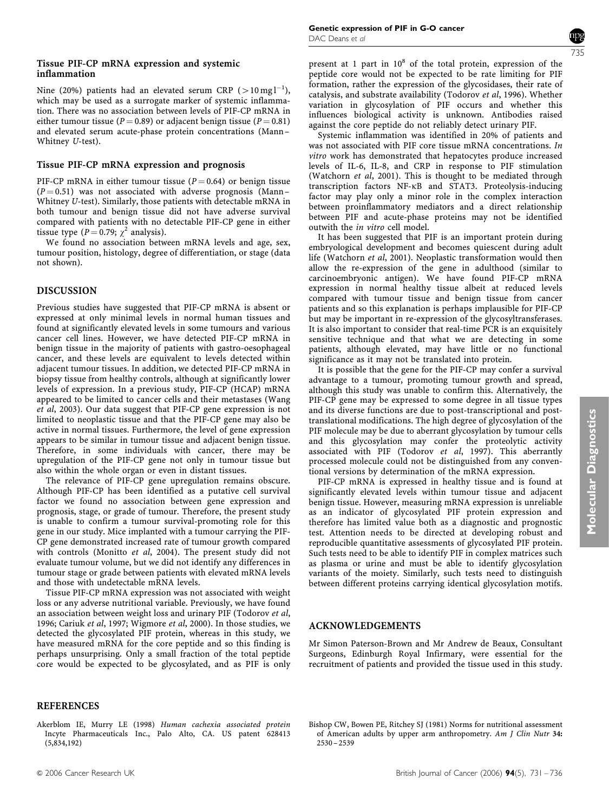## Tissue PIF-CP mRNA expression and systemic inflammation

Nine (20%) patients had an elevated serum CRP ( $>$  10 mg l<sup>-1</sup>), which may be used as a surrogate marker of systemic inflammation. There was no association between levels of PIF-CP mRNA in either tumour tissue ( $P = 0.89$ ) or adjacent benign tissue ( $P = 0.81$ ) and elevated serum acute-phase protein concentrations (Mann– Whitney U-test).

## Tissue PIF-CP mRNA expression and prognosis

PIF-CP mRNA in either tumour tissue ( $P = 0.64$ ) or benign tissue  $(P = 0.51)$  was not associated with adverse prognosis (Mann– Whitney U-test). Similarly, those patients with detectable mRNA in both tumour and benign tissue did not have adverse survival compared with patients with no detectable PIF-CP gene in either tissue type ( $P = 0.79$ ;  $\chi^2$  analysis).

We found no association between mRNA levels and age, sex, tumour position, histology, degree of differentiation, or stage (data not shown).

# DISCUSSION

Previous studies have suggested that PIF-CP mRNA is absent or expressed at only minimal levels in normal human tissues and found at significantly elevated levels in some tumours and various cancer cell lines. However, we have detected PIF-CP mRNA in benign tissue in the majority of patients with gastro-oesophageal cancer, and these levels are equivalent to levels detected within adjacent tumour tissues. In addition, we detected PIF-CP mRNA in biopsy tissue from healthy controls, although at significantly lower levels of expression. In a previous study, PIF-CP (HCAP) mRNA appeared to be limited to cancer cells and their metastases (Wang et al, 2003). Our data suggest that PIF-CP gene expression is not limited to neoplastic tissue and that the PIF-CP gene may also be active in normal tissues. Furthermore, the level of gene expression appears to be similar in tumour tissue and adjacent benign tissue. Therefore, in some individuals with cancer, there may be upregulation of the PIF-CP gene not only in tumour tissue but also within the whole organ or even in distant tissues.

The relevance of PIF-CP gene upregulation remains obscure. Although PIF-CP has been identified as a putative cell survival factor we found no association between gene expression and prognosis, stage, or grade of tumour. Therefore, the present study is unable to confirm a tumour survival-promoting role for this gene in our study. Mice implanted with a tumour carrying the PIF-CP gene demonstrated increased rate of tumour growth compared with controls (Monitto et al, 2004). The present study did not evaluate tumour volume, but we did not identify any differences in tumour stage or grade between patients with elevated mRNA levels and those with undetectable mRNA levels.

Tissue PIF-CP mRNA expression was not associated with weight loss or any adverse nutritional variable. Previously, we have found an association between weight loss and urinary PIF (Todorov et al, 1996; Cariuk et al, 1997; Wigmore et al, 2000). In those studies, we detected the glycosylated PIF protein, whereas in this study, we have measured mRNA for the core peptide and so this finding is perhaps unsurprising. Only a small fraction of the total peptide core would be expected to be glycosylated, and as PIF is only

# REFERENCES

Akerblom IE, Murry LE (1998) Human cachexia associated protein Incyte Pharmaceuticals Inc., Palo Alto, CA. US patent 628413 (5,834,192)

present at 1 part in  $10^8$  of the total protein, expression of the peptide core would not be expected to be rate limiting for PIF formation, rather the expression of the glycosidases, their rate of catalysis, and substrate availability (Todorov et al, 1996). Whether variation in glycosylation of PIF occurs and whether this influences biological activity is unknown. Antibodies raised against the core peptide do not reliably detect urinary PIF.

Systemic inflammation was identified in 20% of patients and was not associated with PIF core tissue mRNA concentrations. In vitro work has demonstrated that hepatocytes produce increased levels of IL-6, IL-8, and CRP in response to PIF stimulation (Watchorn et al, 2001). This is thought to be mediated through transcription factors NF-kB and STAT3. Proteolysis-inducing factor may play only a minor role in the complex interaction between proinflammatory mediators and a direct relationship between PIF and acute-phase proteins may not be identified outwith the in vitro cell model.

It has been suggested that PIF is an important protein during embryological development and becomes quiescent during adult life (Watchorn et al, 2001). Neoplastic transformation would then allow the re-expression of the gene in adulthood (similar to carcinoembryonic antigen). We have found PIF-CP mRNA expression in normal healthy tissue albeit at reduced levels compared with tumour tissue and benign tissue from cancer patients and so this explanation is perhaps implausible for PIF-CP but may be important in re-expression of the glycosyltransferases. It is also important to consider that real-time PCR is an exquisitely sensitive technique and that what we are detecting in some patients, although elevated, may have little or no functional significance as it may not be translated into protein.

It is possible that the gene for the PIF-CP may confer a survival advantage to a tumour, promoting tumour growth and spread, although this study was unable to confirm this. Alternatively, the PIF-CP gene may be expressed to some degree in all tissue types and its diverse functions are due to post-transcriptional and posttranslational modifications. The high degree of glycosylation of the PIF molecule may be due to aberrant glycosylation by tumour cells and this glycosylation may confer the proteolytic activity associated with PIF (Todorov et al, 1997). This aberrantly processed molecule could not be distinguished from any conventional versions by determination of the mRNA expression.

PIF-CP mRNA is expressed in healthy tissue and is found at significantly elevated levels within tumour tissue and adjacent benign tissue. However, measuring mRNA expression is unreliable as an indicator of glycosylated PIF protein expression and therefore has limited value both as a diagnostic and prognostic test. Attention needs to be directed at developing robust and reproducible quantitative assessments of glycosylated PIF protein. Such tests need to be able to identify PIF in complex matrices such as plasma or urine and must be able to identify glycosylation variants of the moiety. Similarly, such tests need to distinguish between different proteins carrying identical glycosylation motifs.

### ACKNOWLEDGEMENTS

Mr Simon Paterson-Brown and Mr Andrew de Beaux, Consultant Surgeons, Edinburgh Royal Infirmary, were essential for the recruitment of patients and provided the tissue used in this study.

Bishop CW, Bowen PE, Ritchey SJ (1981) Norms for nutritional assessment of American adults by upper arm anthropometry. Am J Clin Nutr 34: 2530 – 2539